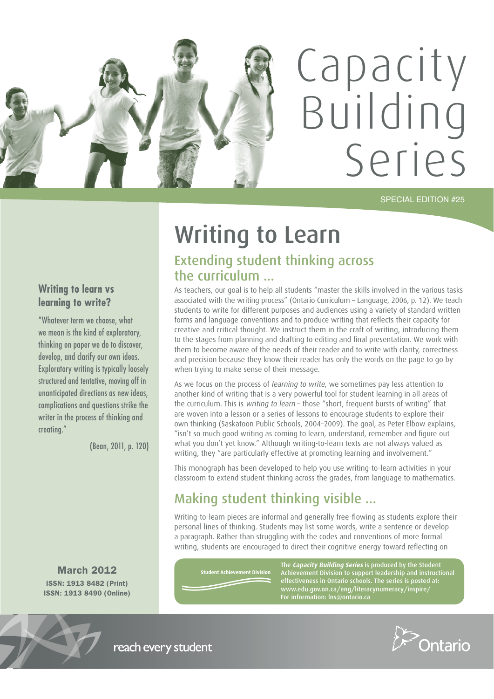

SPECIAL EDITION #25

# Writing to Learn Extending student thinking across the curriculum ...

As teachers, our goal is to help all students "master the skills involved in the various tasks associated with the writing process" (Ontario Curriculum – Language, 2006, p. 12). We teach students to write for different purposes and audiences using a variety of standard written forms and language conventions and to produce writing that reflects their capacity for creative and critical thought. We instruct them in the craft of writing, introducing them to the stages from planning and drafting to editing and final presentation. We work with them to become aware of the needs of their reader and to write with clarity, correctness and precision because they know their reader has only the words on the page to go by when trying to make sense of their message.

As we focus on the process of learning to write, we sometimes pay less attention to another kind of writing that is a very powerful tool for student learning in all areas of the curriculum. This is writing to learn - those "short, frequent bursts of writing" that are woven into a lesson or a series of lessons to encourage students to explore their own thinking (Saskatoon Public Schools, 2004–2009). The goal, as Peter Elbow explains, "isn't so much good writing as coming to learn, understand, remember and figure out what you don't yet know." Although writing-to-learn texts are not always valued as writing, they "are particularly effective at promoting learning and involvement."

This monograph has been developed to help you use writing-to-learn activities in your classroom to extend student thinking across the grades, from language to mathematics.

# Making student thinking visible ...

Writing-to-learn pieces are informal and generally free-flowing as students explore their personal lines of thinking. Students may list some words, write a sentence or develop a paragraph. Rather than struggling with the codes and conventions of more formal writing, students are encouraged to direct their cognitive energy toward reflecting on

March 2012 ISSN: 1913 8482 (Print) ISSN: 1913 8490 (Online)

**Writing to learn vs learning to write?**

creating."

"Whatever term we choose, what we mean is the kind of exploratory, thinking on paper we do to discover, develop, and clarify our own ideas. Exploratory writing is typically loosely structured and tentative, moving off in unanticipated directions as new ideas, complications and questions strike the writer in the process of thinking and

(Bean, 2011, p. 120)

**Student Achievement Division**

The **Capacity Building Series** is produced by the Student Achievement Division to support leadership and instructional effectiveness in Ontario schools. The series is posted at: www.edu.gov.on.ca/eng/literacynumeracy/inspire/



reach every student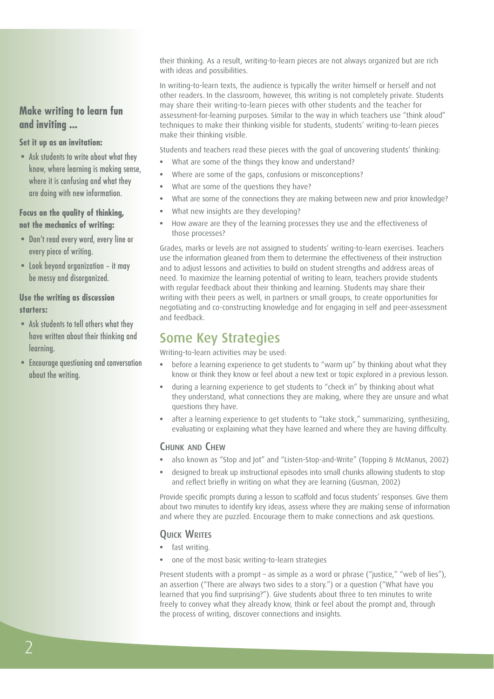**Make writing to learn fun and inviting ...**

#### **Set it up as an invitation:**

• Ask students to write about what they know, where learning is making sense, where it is confusing and what they are doing with new information.

#### **Focus on the quality of thinking, not the mechanics of writing:**

- Don't read every word, every line or every piece of writing.
- Look beyond organization it may be messy and disorganized.

#### **Use the writing as discussion starters:**

- Ask students to tell others what they have written about their thinking and learning.
- • Encourage questioning and conversation about the writing.

their thinking. As a result, writing-to-learn pieces are not always organized but are rich with ideas and possibilities.

In writing-to-learn texts, the audience is typically the writer himself or herself and not other readers. In the classroom, however, this writing is not completely private. Students may share their writing-to-learn pieces with other students and the teacher for assessment-for-learning purposes. Similar to the way in which teachers use "think aloud" techniques to make their thinking visible for students, students' writing-to-learn pieces make their thinking visible.

Students and teachers read these pieces with the goal of uncovering students' thinking:

- What are some of the things they know and understand?
- Where are some of the gaps, confusions or misconceptions?
- What are some of the questions they have?
- What are some of the connections they are making between new and prior knowledge?
- What new insights are they developing?
- How aware are they of the learning processes they use and the effectiveness of those processes?

Grades, marks or levels are not assigned to students' writing-to-learn exercises. Teachers use the information gleaned from them to determine the effectiveness of their instruction and to adjust lessons and activities to build on student strengths and address areas of need. To maximize the learning potential of writing to learn, teachers provide students with regular feedback about their thinking and learning. Students may share their writing with their peers as well, in partners or small groups, to create opportunities for negotiating and co-constructing knowledge and for engaging in self and peer-assessment and feedback.

## Some Key Strategies

Writing-to-learn activities may be used:

- before a learning experience to get students to "warm up" by thinking about what they know or think they know or feel about a new text or topic explored in a previous lesson.
- during a learning experience to get students to "check in" by thinking about what they understand, what connections they are making, where they are unsure and what questions they have.
- after a learning experience to get students to "take stock," summarizing, synthesizing, evaluating or explaining what they have learned and where they are having difficulty.

#### CHUNK AND CHEW

- also known as "Stop and Jot" and "Listen-Stop-and-Write" (Topping & McManus, 2002)
- designed to break up instructional episodes into small chunks allowing students to stop and reflect briefly in writing on what they are learning (Gusman, 2002)

Provide specific prompts during a lesson to scaffold and focus students' responses. Give them about two minutes to identify key ideas, assess where they are making sense of information and where they are puzzled. Encourage them to make connections and ask questions.

### **OUICK WRITES**

- fast writing.
- one of the most basic writing-to-learn strategies

Present students with a prompt - as simple as a word or phrase ("justice," "web of lies"), an assertion ("There are always two sides to a story.") or a question ("What have you learned that you find surprising?"). Give students about three to ten minutes to write freely to convey what they already know, think or feel about the prompt and, through the process of writing, discover connections and insights.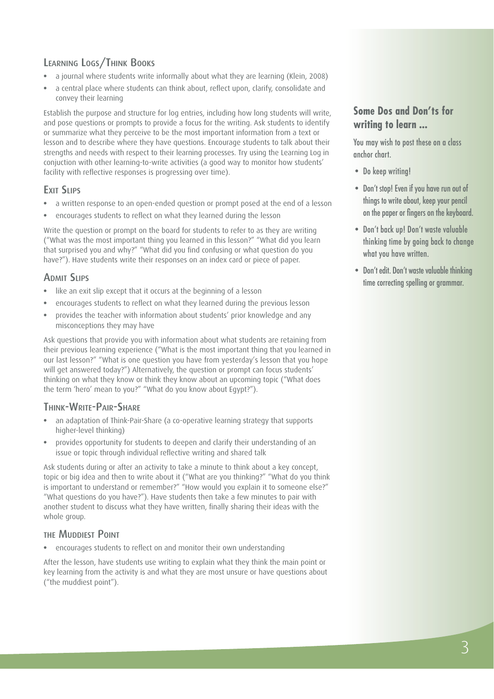## LEARNING LOGS/THINK BOOKS

- a journal where students write informally about what they are learning (Klein, 2008)
- a central place where students can think about, reflect upon, clarify, consolidate and convey their learning

Establish the purpose and structure for log entries, including how long students will write, and pose questions or prompts to provide a focus for the writing. Ask students to identify or summarize what they perceive to be the most important information from a text or lesson and to describe where they have questions. Encourage students to talk about their strengths and needs with respect to their learning processes. Try using the Learning Log in conjuction with other learning-to-write activities (a good way to monitor how students' facility with reflective responses is progressing over time).

## EXIT SLIPS

- a written response to an open-ended question or prompt posed at the end of a lesson
- encourages students to reflect on what they learned during the lesson

Write the question or prompt on the board for students to refer to as they are writing ("What was the most important thing you learned in this lesson?" "What did you learn that surprised you and why?" "What did you find confusing or what question do you have?"). Have students write their responses on an index card or piece of paper.

### **ADMIT SLIPS**

- like an exit slip except that it occurs at the beginning of a lesson
- encourages students to reflect on what they learned during the previous lesson
- provides the teacher with information about students' prior knowledge and any misconceptions they may have

Ask questions that provide you with information about what students are retaining from their previous learning experience ("What is the most important thing that you learned in our last lesson?" "What is one question you have from yesterday's lesson that you hope will get answered today?") Alternatively, the question or prompt can focus students' thinking on what they know or think they know about an upcoming topic ("What does the term 'hero' mean to you?" "What do you know about Egypt?").

### THINK-WRITE-PAIR-SHARE

- an adaptation of Think-Pair-Share (a co-operative learning strategy that supports higher-level thinking)
- provides opportunity for students to deepen and clarify their understanding of an issue or topic through individual reflective writing and shared talk

Ask students during or after an activity to take a minute to think about a key concept, topic or big idea and then to write about it ("What are you thinking?" "What do you think is important to understand or remember?" "How would you explain it to someone else?" "What questions do you have?"). Have students then take a few minutes to pair with another student to discuss what they have written, finally sharing their ideas with the whole group.

### THE MUDDIEST POINT

encourages students to reflect on and monitor their own understanding

After the lesson, have students use writing to explain what they think the main point or key learning from the activity is and what they are most unsure or have questions about ("the muddiest point").

## **Some Dos and Don'ts for writing to learn ...**

You may wish to post these on a class anchor chart.

- Do keep writing!
- Don't stop! Even if you have run out of things to write about, keep your pencil on the paper or fingers on the keyboard.
- • Don't back up! Don't waste valuable thinking time by going back to change what you have written.
- Don't edit. Don't waste valuable thinking time correcting spelling or grammar.